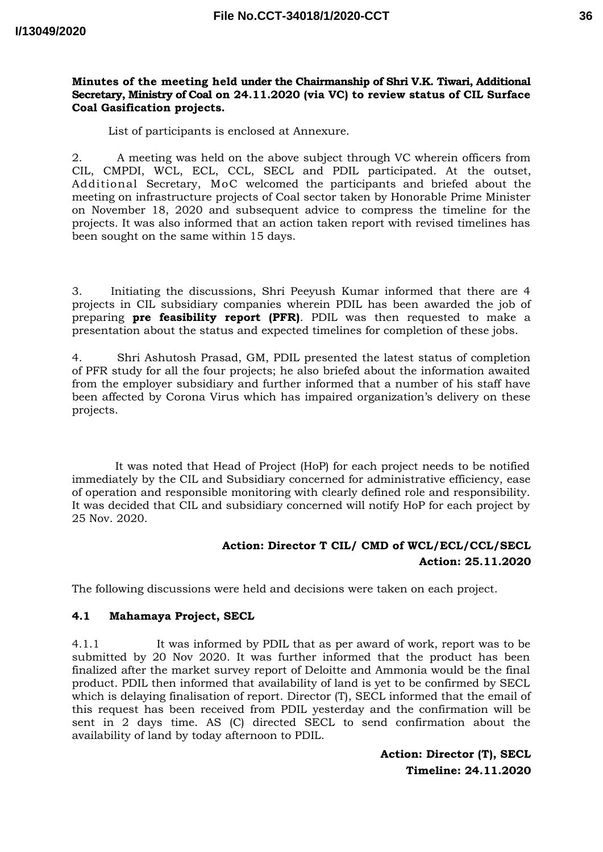#### **Minutes of the meeting held under the Chairmanship of Shri V.K. Tiwari, Additional Secretary, Ministry of Coal on 24.11.2020 (via VC) to review status of CIL Surface Coal Gasification projects.**

List of participants is enclosed at Annexure.

2. A meeting was held on the above subject through VC wherein officers from CIL, CMPDI, WCL, ECL, CCL, SECL and PDIL participated. At the outset, Additional Secretary, MoC welcomed the participants and briefed about the meeting on infrastructure projects of Coal sector taken by Honorable Prime Minister on November 18, 2020 and subsequent advice to compress the timeline for the projects. It was also informed that an action taken report with revised timelines has been sought on the same within 15 days.

3. Initiating the discussions, Shri Peeyush Kumar informed that there are 4 projects in CIL subsidiary companies wherein PDIL has been awarded the job of preparing **pre feasibility report (PFR)**. PDIL was then requested to make a presentation about the status and expected timelines for completion of these jobs.

4. Shri Ashutosh Prasad, GM, PDIL presented the latest status of completion of PFR study for all the four projects; he also briefed about the information awaited from the employer subsidiary and further informed that a number of his staff have been affected by Corona Virus which has impaired organization's delivery on these projects.

It was noted that Head of Project (HoP) for each project needs to be notified immediately by the CIL and Subsidiary concerned for administrative efficiency, ease of operation and responsible monitoring with clearly defined role and responsibility. It was decided that CIL and subsidiary concerned will notify HoP for each project by 25 Nov. 2020.

# **Action: Director T CIL/ CMD of WCL/ECL/CCL/SECL Action: 25.11.2020**

The following discussions were held and decisions were taken on each project.

### **4.1 Mahamaya Project, SECL**

4.1.1 It was informed by PDIL that as per award of work, report was to be submitted by 20 Nov 2020. It was further informed that the product has been finalized after the market survey report of Deloitte and Ammonia would be the final product. PDIL then informed that availability of land is yet to be confirmed by SECL which is delaying finalisation of report. Director (T), SECL informed that the email of this request has been received from PDIL yesterday and the confirmation will be sent in 2 days time. AS (C) directed SECL to send confirmation about the availability of land by today afternoon to PDIL.

> **Action: Director (T), SECL Timeline: 24.11.2020**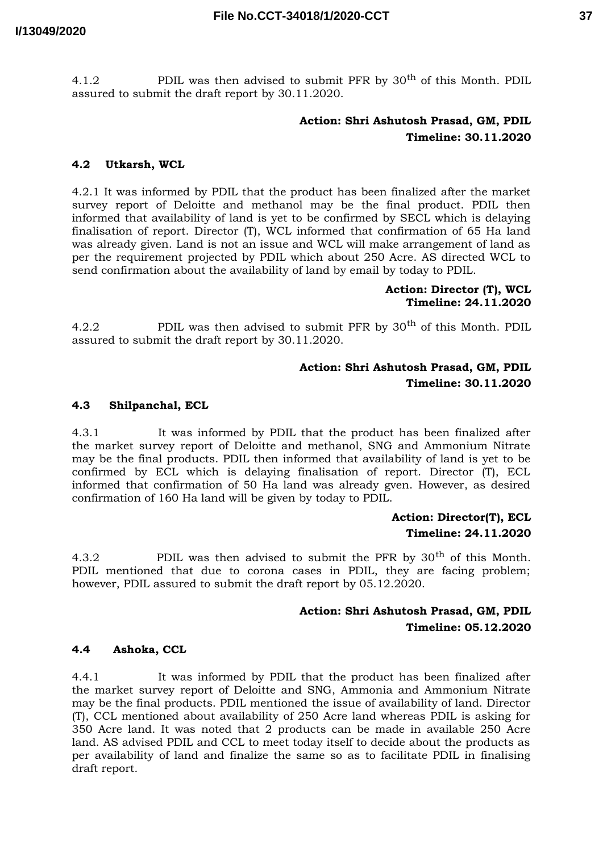4.1.2 PDIL was then advised to submit PFR by  $30<sup>th</sup>$  of this Month. PDIL assured to submit the draft report by 30.11.2020.

### **Action: Shri Ashutosh Prasad, GM, PDIL Timeline: 30.11.2020**

### **4.2 Utkarsh, WCL**

4.2.1 It was informed by PDIL that the product has been finalized after the market survey report of Deloitte and methanol may be the final product. PDIL then informed that availability of land is yet to be confirmed by SECL which is delaying finalisation of report. Director (T), WCL informed that confirmation of 65 Ha land was already given. Land is not an issue and WCL will make arrangement of land as per the requirement projected by PDIL which about 250 Acre. AS directed WCL to send confirmation about the availability of land by email by today to PDIL.

### **Action: Director (T), WCL Timeline: 24.11.2020**

4.2.2 PDIL was then advised to submit PFR by  $30<sup>th</sup>$  of this Month. PDIL assured to submit the draft report by 30.11.2020.

# **Action: Shri Ashutosh Prasad, GM, PDIL Timeline: 30.11.2020**

### **4.3 Shilpanchal, ECL**

4.3.1 It was informed by PDIL that the product has been finalized after the market survey report of Deloitte and methanol, SNG and Ammonium Nitrate may be the final products. PDIL then informed that availability of land is yet to be confirmed by ECL which is delaying finalisation of report. Director (T), ECL informed that confirmation of 50 Ha land was already gven. However, as desired confirmation of 160 Ha land will be given by today to PDIL.

### **Action: Director(T), ECL Timeline: 24.11.2020**

4.3.2 PDIL was then advised to submit the PFR by  $30<sup>th</sup>$  of this Month. PDIL mentioned that due to corona cases in PDIL, they are facing problem; however, PDIL assured to submit the draft report by 05.12.2020.

### **Action: Shri Ashutosh Prasad, GM, PDIL Timeline: 05.12.2020**

### **4.4 Ashoka, CCL**

4.4.1 It was informed by PDIL that the product has been finalized after the market survey report of Deloitte and SNG, Ammonia and Ammonium Nitrate may be the final products. PDIL mentioned the issue of availability of land. Director (T), CCL mentioned about availability of 250 Acre land whereas PDIL is asking for 350 Acre land. It was noted that 2 products can be made in available 250 Acre land. AS advised PDIL and CCL to meet today itself to decide about the products as per availability of land and finalize the same so as to facilitate PDIL in finalising draft report.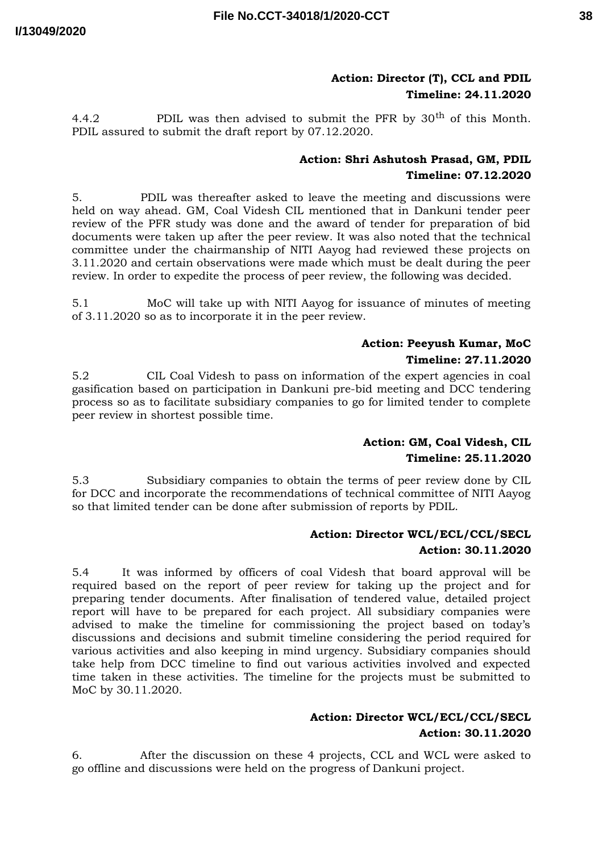# **Action: Director (T), CCL and PDIL Timeline: 24.11.2020**

4.4.2 PDIL was then advised to submit the PFR by  $30<sup>th</sup>$  of this Month. PDIL assured to submit the draft report by 07.12.2020.

## **Action: Shri Ashutosh Prasad, GM, PDIL Timeline: 07.12.2020**

5. PDIL was thereafter asked to leave the meeting and discussions were held on way ahead. GM, Coal Videsh CIL mentioned that in Dankuni tender peer review of the PFR study was done and the award of tender for preparation of bid documents were taken up after the peer review. It was also noted that the technical committee under the chairmanship of NITI Aayog had reviewed these projects on 3.11.2020 and certain observations were made which must be dealt during the peer review. In order to expedite the process of peer review, the following was decided.

5.1 MoC will take up with NITI Aayog for issuance of minutes of meeting of 3.11.2020 so as to incorporate it in the peer review.

# **Action: Peeyush Kumar, MoC**

### **Timeline: 27.11.2020**

5.2 CIL Coal Videsh to pass on information of the expert agencies in coal gasification based on participation in Dankuni pre-bid meeting and DCC tendering process so as to facilitate subsidiary companies to go for limited tender to complete peer review in shortest possible time.

## **Action: GM, Coal Videsh, CIL Timeline: 25.11.2020**

5.3 Subsidiary companies to obtain the terms of peer review done by CIL for DCC and incorporate the recommendations of technical committee of NITI Aayog so that limited tender can be done after submission of reports by PDIL.

### **Action: Director WCL/ECL/CCL/SECL Action: 30.11.2020**

5.4 It was informed by officers of coal Videsh that board approval will be required based on the report of peer review for taking up the project and for preparing tender documents. After finalisation of tendered value, detailed project report will have to be prepared for each project. All subsidiary companies were advised to make the timeline for commissioning the project based on today's discussions and decisions and submit timeline considering the period required for various activities and also keeping in mind urgency. Subsidiary companies should take help from DCC timeline to find out various activities involved and expected time taken in these activities. The timeline for the projects must be submitted to MoC by 30.11.2020.

# **Action: Director WCL/ECL/CCL/SECL Action: 30.11.2020**

6. After the discussion on these 4 projects, CCL and WCL were asked to go offline and discussions were held on the progress of Dankuni project.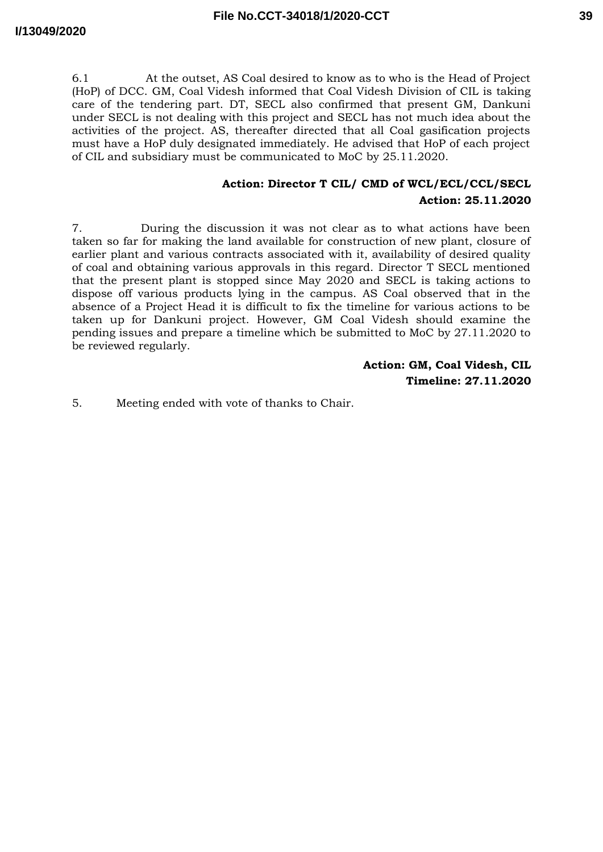6.1 At the outset, AS Coal desired to know as to who is the Head of Project (HoP) of DCC. GM, Coal Videsh informed that Coal Videsh Division of CIL is taking care of the tendering part. DT, SECL also confirmed that present GM, Dankuni under SECL is not dealing with this project and SECL has not much idea about the activities of the project. AS, thereafter directed that all Coal gasification projects must have a HoP duly designated immediately. He advised that HoP of each project of CIL and subsidiary must be communicated to MoC by 25.11.2020.

### **Action: Director T CIL/ CMD of WCL/ECL/CCL/SECL Action: 25.11.2020**

7. During the discussion it was not clear as to what actions have been taken so far for making the land available for construction of new plant, closure of earlier plant and various contracts associated with it, availability of desired quality of coal and obtaining various approvals in this regard. Director T SECL mentioned that the present plant is stopped since May 2020 and SECL is taking actions to dispose off various products lying in the campus. AS Coal observed that in the absence of a Project Head it is difficult to fix the timeline for various actions to be taken up for Dankuni project. However, GM Coal Videsh should examine the pending issues and prepare a timeline which be submitted to MoC by 27.11.2020 to be reviewed regularly.

## **Action: GM, Coal Videsh, CIL Timeline: 27.11.2020**

5. Meeting ended with vote of thanks to Chair.